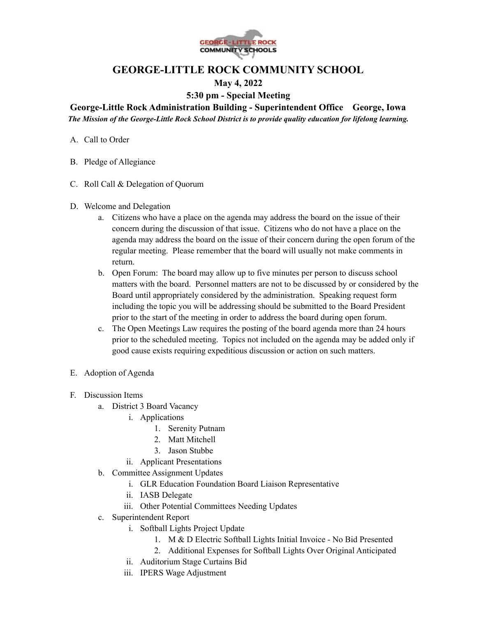

## **GEORGE-LITTLE ROCK COMMUNITY SCHOOL**

## **May 4, 2022**

**5:30 pm - Special Meeting**

**George-Little Rock Administration Building - Superintendent Office George, Iowa** *The Mission of the George-Little Rock School District is to provide quality education for lifelong learning.*

- A. Call to Order
- B. Pledge of Allegiance
- C. Roll Call & Delegation of Quorum
- D. Welcome and Delegation
	- a. Citizens who have a place on the agenda may address the board on the issue of their concern during the discussion of that issue. Citizens who do not have a place on the agenda may address the board on the issue of their concern during the open forum of the regular meeting. Please remember that the board will usually not make comments in return.
	- b. Open Forum: The board may allow up to five minutes per person to discuss school matters with the board. Personnel matters are not to be discussed by or considered by the Board until appropriately considered by the administration. Speaking request form including the topic you will be addressing should be submitted to the Board President prior to the start of the meeting in order to address the board during open forum.
	- c. The Open Meetings Law requires the posting of the board agenda more than 24 hours prior to the scheduled meeting. Topics not included on the agenda may be added only if good cause exists requiring expeditious discussion or action on such matters.
- E. Adoption of Agenda
- F. Discussion Items
	- a. District 3 Board Vacancy
		- i. Applications
			- 1. Serenity Putnam
			- 2. Matt Mitchell
			- 3. Jason Stubbe
		- ii. Applicant Presentations
	- b. Committee Assignment Updates
		- i. GLR Education Foundation Board Liaison Representative
		- ii. IASB Delegate
		- iii. Other Potential Committees Needing Updates
	- c. Superintendent Report
		- i. Softball Lights Project Update
			- 1. M & D Electric Softball Lights Initial Invoice No Bid Presented
			- 2. Additional Expenses for Softball Lights Over Original Anticipated
		- ii. Auditorium Stage Curtains Bid
		- iii. IPERS Wage Adjustment